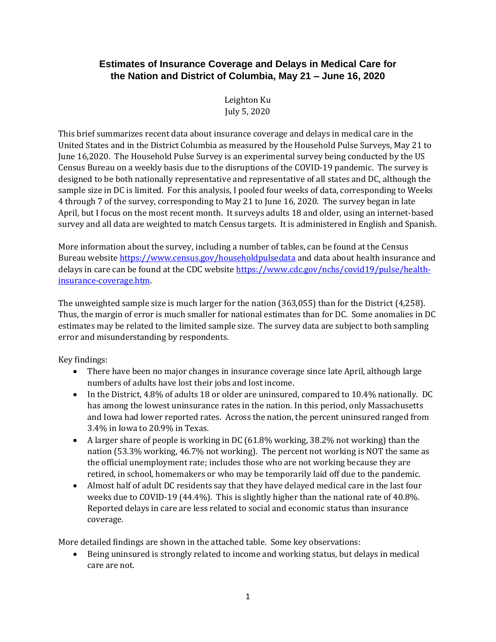## **Estimates of Insurance Coverage and Delays in Medical Care for the Nation and District of Columbia, May 21 – June 16, 2020**

Leighton Ku July 5, 2020

This brief summarizes recent data about insurance coverage and delays in medical care in the United States and in the District Columbia as measured by the Household Pulse Surveys, May 21 to June 16,2020. The Household Pulse Survey is an experimental survey being conducted by the US Census Bureau on a weekly basis due to the disruptions of the COVID-19 pandemic. The survey is designed to be both nationally representative and representative of all states and DC, although the sample size in DC is limited. For this analysis, I pooled four weeks of data, corresponding to Weeks 4 through 7 of the survey, corresponding to May 21 to June 16, 2020. The survey began in late April, but I focus on the most recent month. It surveys adults 18 and older, using an internet-based survey and all data are weighted to match Census targets. It is administered in English and Spanish.

More information about the survey, including a number of tables, can be found at the Census Bureau website<https://www.census.gov/householdpulsedata> and data about health insurance and delays in care can be found at the CDC websit[e https://www.cdc.gov/nchs/covid19/pulse/health](https://www.cdc.gov/nchs/covid19/pulse/health-insurance-coverage.htm)[insurance-coverage.htm.](https://www.cdc.gov/nchs/covid19/pulse/health-insurance-coverage.htm)

The unweighted sample size is much larger for the nation (363,055) than for the District (4,258). Thus, the margin of error is much smaller for national estimates than for DC. Some anomalies in DC estimates may be related to the limited sample size. The survey data are subject to both sampling error and misunderstanding by respondents.

Key findings:

- There have been no major changes in insurance coverage since late April, although large numbers of adults have lost their jobs and lost income.
- In the District, 4.8% of adults 18 or older are uninsured, compared to 10.4% nationally. DC has among the lowest uninsurance rates in the nation. In this period, only Massachusetts and Iowa had lower reported rates. Across the nation, the percent uninsured ranged from 3.4% in Iowa to 20.9% in Texas.
- A larger share of people is working in DC (61.8% working, 38.2% not working) than the nation (53.3% working, 46.7% not working). The percent not working is NOT the same as the official unemployment rate; includes those who are not working because they are retired, in school, homemakers or who may be temporarily laid off due to the pandemic.
- Almost half of adult DC residents say that they have delayed medical care in the last four weeks due to COVID-19 (44.4%). This is slightly higher than the national rate of 40.8%. Reported delays in care are less related to social and economic status than insurance coverage.

More detailed findings are shown in the attached table. Some key observations:

• Being uninsured is strongly related to income and working status, but delays in medical care are not.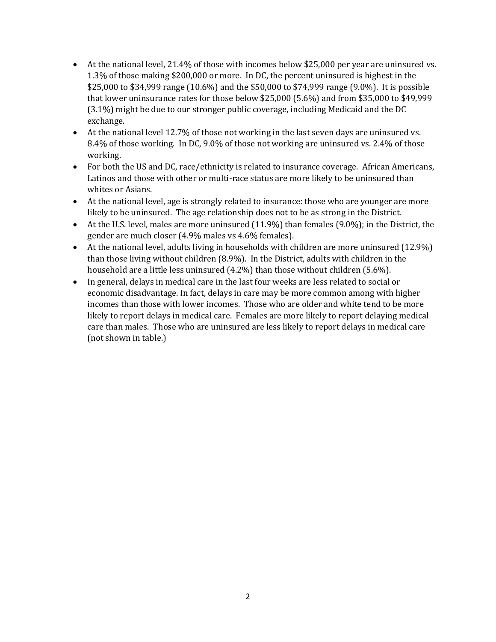- At the national level, 21.4% of those with incomes below \$25,000 per year are uninsured vs. 1.3% of those making \$200,000 or more. In DC, the percent uninsured is highest in the \$25,000 to \$34,999 range (10.6%) and the \$50,000 to \$74,999 range (9.0%). It is possible that lower uninsurance rates for those below \$25,000 (5.6%) and from \$35,000 to \$49,999 (3.1%) might be due to our stronger public coverage, including Medicaid and the DC exchange.
- At the national level 12.7% of those not working in the last seven days are uninsured vs. 8.4% of those working. In DC, 9.0% of those not working are uninsured vs. 2.4% of those working.
- For both the US and DC, race/ethnicity is related to insurance coverage. African Americans, Latinos and those with other or multi-race status are more likely to be uninsured than whites or Asians.
- At the national level, age is strongly related to insurance: those who are younger are more likely to be uninsured. The age relationship does not to be as strong in the District.
- At the U.S. level, males are more uninsured (11.9%) than females (9.0%); in the District, the gender are much closer (4.9% males vs 4.6% females).
- At the national level, adults living in households with children are more uninsured (12.9%) than those living without children (8.9%). In the District, adults with children in the household are a little less uninsured (4.2%) than those without children (5.6%).
- In general, delays in medical care in the last four weeks are less related to social or economic disadvantage. In fact, delays in care may be more common among with higher incomes than those with lower incomes. Those who are older and white tend to be more likely to report delays in medical care. Females are more likely to report delaying medical care than males. Those who are uninsured are less likely to report delays in medical care (not shown in table.)